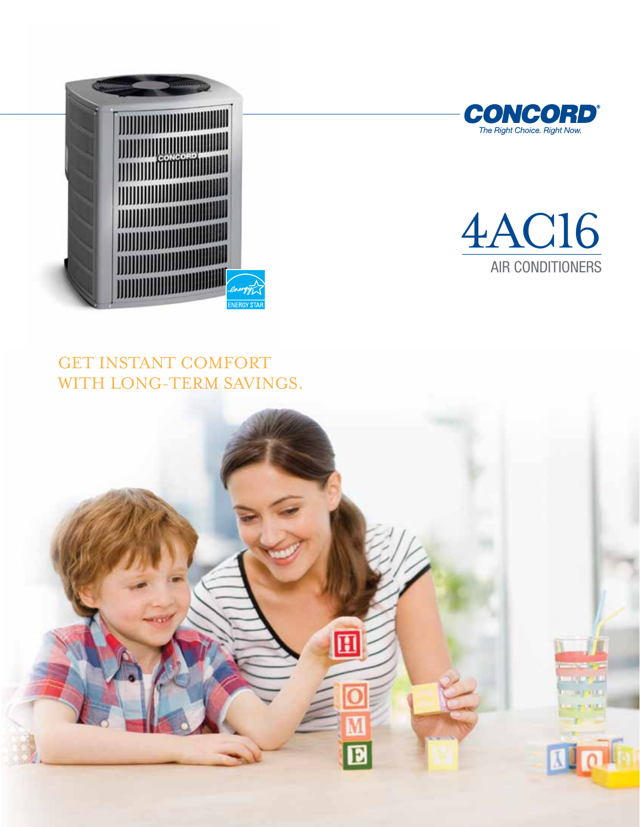





## GET INSTANT COMFORT with long-term savings.

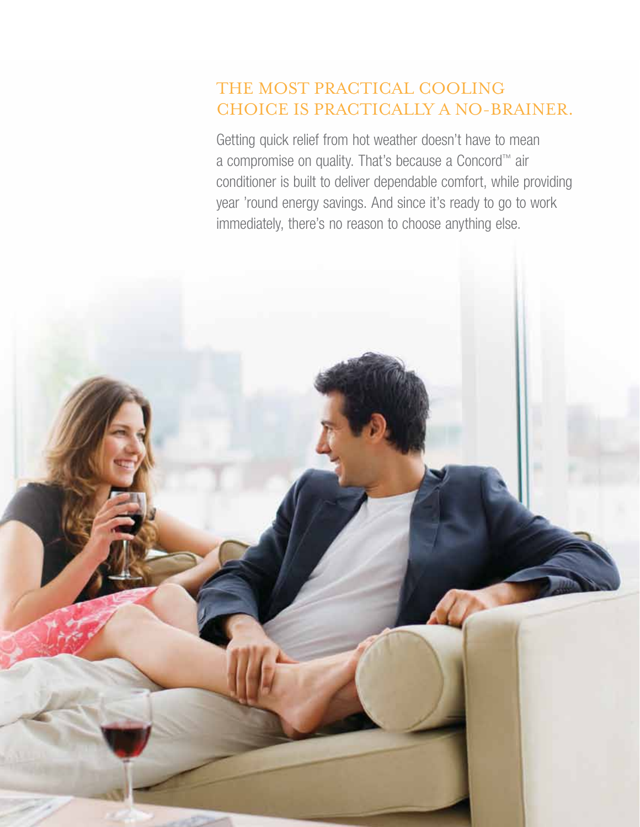## The most practical cooling choice is practically a no-brainer.

Getting quick relief from hot weather doesn't have to mean a compromise on quality. That's because a Concord™ air conditioner is built to deliver dependable comfort, while providing year 'round energy savings. And since it's ready to go to work immediately, there's no reason to choose anything else.

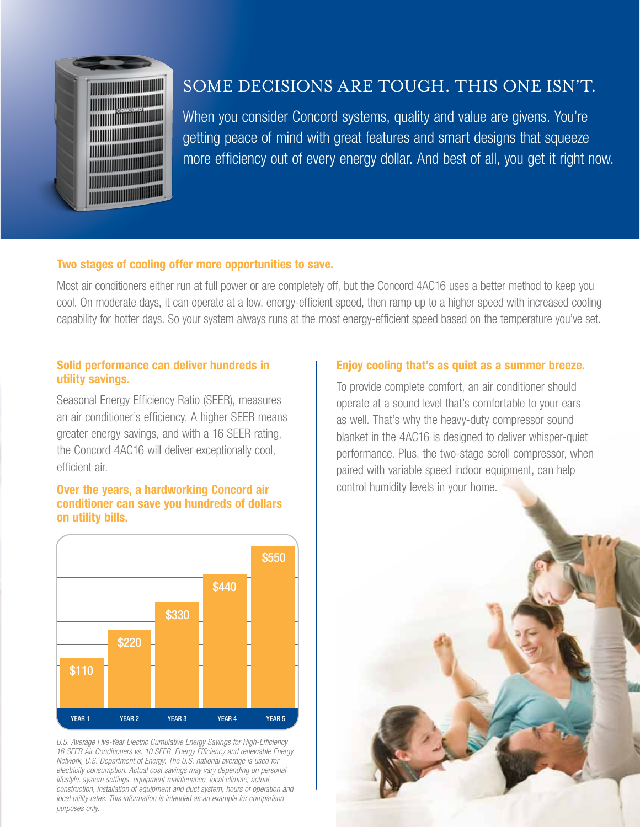

## Some decisions are tough. This one isn't.

When you consider Concord systems, quality and value are givens. You're getting peace of mind with great features and smart designs that squeeze more efficiency out of every energy dollar. And best of all, you get it right now.

### Two stages of cooling offer more opportunities to save.

Most air conditioners either run at full power or are completely off, but the Concord 4AC16 uses a better method to keep you cool. On moderate days, it can operate at a low, energy-efficient speed, then ramp up to a higher speed with increased cooling capability for hotter days. So your system always runs at the most energy-efficient speed based on the temperature you've set.

#### Solid performance can deliver hundreds in utility savings.

Seasonal Energy Efficiency Ratio (SEER), measures an air conditioner's efficiency. A higher SEER means greater energy savings, and with a 16 SEER rating, the Concord 4AC16 will deliver exceptionally cool, efficient air.

### Over the years, a hardworking Concord air conditioner can save you hundreds of dollars on utility bills.



*U.S. Average Five-Year Electric Cumulative Energy Savings for High-Efficiency 16 SEER Air Conditioners vs. 10 SEER. Energy Efficiency and renewable Energy Network, U.S. Department of Energy. The U.S. national average is used for electricity consumption. Actual cost savings may vary depending on personal lifestyle, system settings, equipment maintenance, local climate, actual construction, installation of equipment and duct system, hours of operation and local utility rates. This information is intended as an example for comparison purposes only.*

#### Enjoy cooling that's as quiet as a summer breeze.

To provide complete comfort, an air conditioner should operate at a sound level that's comfortable to your ears as well. That's why the heavy-duty compressor sound blanket in the 4AC16 is designed to deliver whisper-quiet performance. Plus, the two-stage scroll compressor, when paired with variable speed indoor equipment, can help control humidity levels in your home.